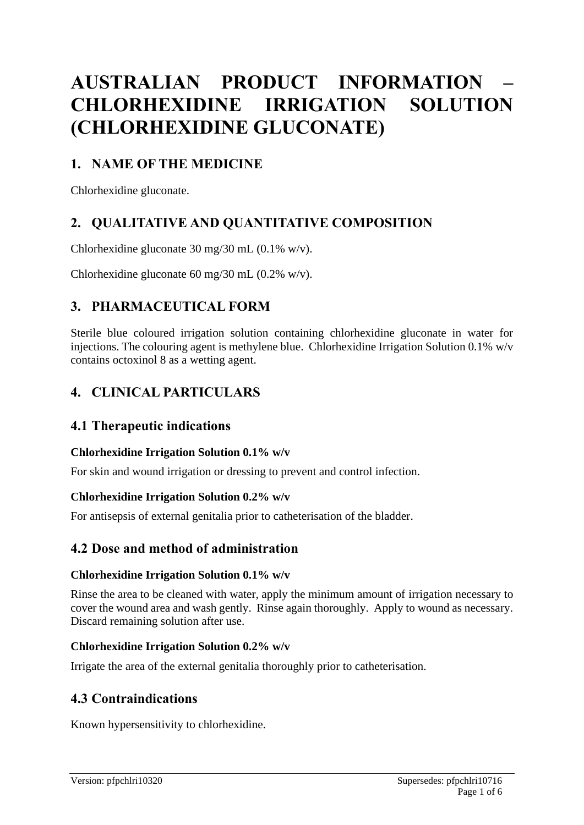# **AUSTRALIAN PRODUCT INFORMATION – CHLORHEXIDINE IRRIGATION SOLUTION (CHLORHEXIDINE GLUCONATE)**

# **1. NAME OF THE MEDICINE**

Chlorhexidine gluconate.

# **2. QUALITATIVE AND QUANTITATIVE COMPOSITION**

Chlorhexidine gluconate 30 mg/30 mL (0.1% w/v).

Chlorhexidine gluconate 60 mg/30 mL (0.2% w/v).

# **3. PHARMACEUTICAL FORM**

Sterile blue coloured irrigation solution containing chlorhexidine gluconate in water for injections. The colouring agent is methylene blue. Chlorhexidine Irrigation Solution 0.1% w/v contains octoxinol 8 as a wetting agent.

# **4. CLINICAL PARTICULARS**

### **4.1 Therapeutic indications**

### **Chlorhexidine Irrigation Solution 0.1% w/v**

For skin and wound irrigation or dressing to prevent and control infection.

#### **Chlorhexidine Irrigation Solution 0.2% w/v**

For antisepsis of external genitalia prior to catheterisation of the bladder.

### **4.2 Dose and method of administration**

#### **Chlorhexidine Irrigation Solution 0.1% w/v**

Rinse the area to be cleaned with water, apply the minimum amount of irrigation necessary to cover the wound area and wash gently. Rinse again thoroughly. Apply to wound as necessary. Discard remaining solution after use.

### **Chlorhexidine Irrigation Solution 0.2% w/v**

Irrigate the area of the external genitalia thoroughly prior to catheterisation.

### **4.3 Contraindications**

Known hypersensitivity to chlorhexidine.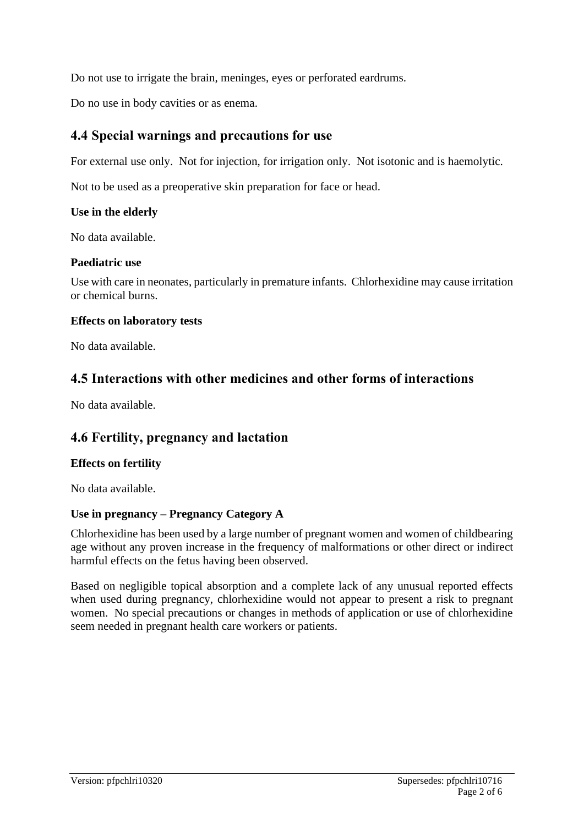Do not use to irrigate the brain, meninges, eyes or perforated eardrums.

Do no use in body cavities or as enema.

### **4.4 Special warnings and precautions for use**

For external use only. Not for injection, for irrigation only. Not isotonic and is haemolytic.

Not to be used as a preoperative skin preparation for face or head.

#### **Use in the elderly**

No data available.

#### **Paediatric use**

Use with care in neonates, particularly in premature infants. Chlorhexidine may cause irritation or chemical burns.

#### **Effects on laboratory tests**

No data available.

### **4.5 Interactions with other medicines and other forms of interactions**

No data available.

### **4.6 Fertility, pregnancy and lactation**

### **Effects on fertility**

No data available.

### **Use in pregnancy – Pregnancy Category A**

Chlorhexidine has been used by a large number of pregnant women and women of childbearing age without any proven increase in the frequency of malformations or other direct or indirect harmful effects on the fetus having been observed.

Based on negligible topical absorption and a complete lack of any unusual reported effects when used during pregnancy, chlorhexidine would not appear to present a risk to pregnant women. No special precautions or changes in methods of application or use of chlorhexidine seem needed in pregnant health care workers or patients.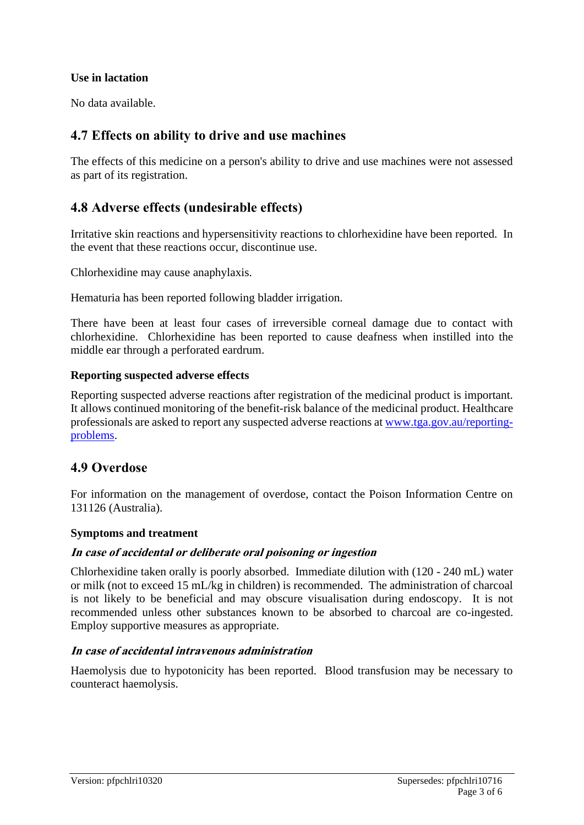#### **Use in lactation**

No data available.

### **4.7 Effects on ability to drive and use machines**

The effects of this medicine on a person's ability to drive and use machines were not assessed as part of its registration.

### **4.8 Adverse effects (undesirable effects)**

Irritative skin reactions and hypersensitivity reactions to chlorhexidine have been reported. In the event that these reactions occur, discontinue use.

Chlorhexidine may cause anaphylaxis.

Hematuria has been reported following bladder irrigation.

There have been at least four cases of irreversible corneal damage due to contact with chlorhexidine. Chlorhexidine has been reported to cause deafness when instilled into the middle ear through a perforated eardrum.

#### **Reporting suspected adverse effects**

Reporting suspected adverse reactions after registration of the medicinal product is important. It allows continued monitoring of the benefit-risk balance of the medicinal product. Healthcare professionals are asked to report any suspected adverse reactions at [www.tga.gov.au/reporting](http://www.tga.gov.au/reporting-problems)[problems.](http://www.tga.gov.au/reporting-problems)

### **4.9 Overdose**

For information on the management of overdose, contact the Poison Information Centre on 131126 (Australia).

#### **Symptoms and treatment**

#### **In case of accidental or deliberate oral poisoning or ingestion**

Chlorhexidine taken orally is poorly absorbed. Immediate dilution with (120 - 240 mL) water or milk (not to exceed 15 mL/kg in children) is recommended. The administration of charcoal is not likely to be beneficial and may obscure visualisation during endoscopy. It is not recommended unless other substances known to be absorbed to charcoal are co-ingested. Employ supportive measures as appropriate.

#### **In case of accidental intravenous administration**

Haemolysis due to hypotonicity has been reported. Blood transfusion may be necessary to counteract haemolysis.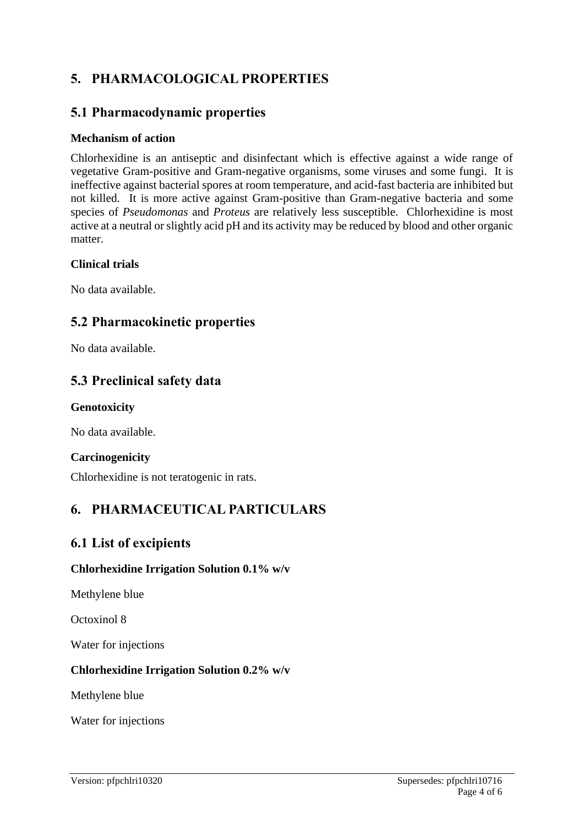# **5. PHARMACOLOGICAL PROPERTIES**

### **5.1 Pharmacodynamic properties**

#### **Mechanism of action**

Chlorhexidine is an antiseptic and disinfectant which is effective against a wide range of vegetative Gram-positive and Gram-negative organisms, some viruses and some fungi. It is ineffective against bacterial spores at room temperature, and acid-fast bacteria are inhibited but not killed. It is more active against Gram-positive than Gram-negative bacteria and some species of *Pseudomonas* and *Proteus* are relatively less susceptible. Chlorhexidine is most active at a neutral or slightly acid pH and its activity may be reduced by blood and other organic matter.

#### **Clinical trials**

No data available.

### **5.2 Pharmacokinetic properties**

No data available.

### **5.3 Preclinical safety data**

#### **Genotoxicity**

No data available.

### **Carcinogenicity**

Chlorhexidine is not teratogenic in rats.

# **6. PHARMACEUTICAL PARTICULARS**

### **6.1 List of excipients**

### **Chlorhexidine Irrigation Solution 0.1% w/v**

Methylene blue

Octoxinol 8

Water for injections

### **Chlorhexidine Irrigation Solution 0.2% w/v**

Methylene blue

Water for injections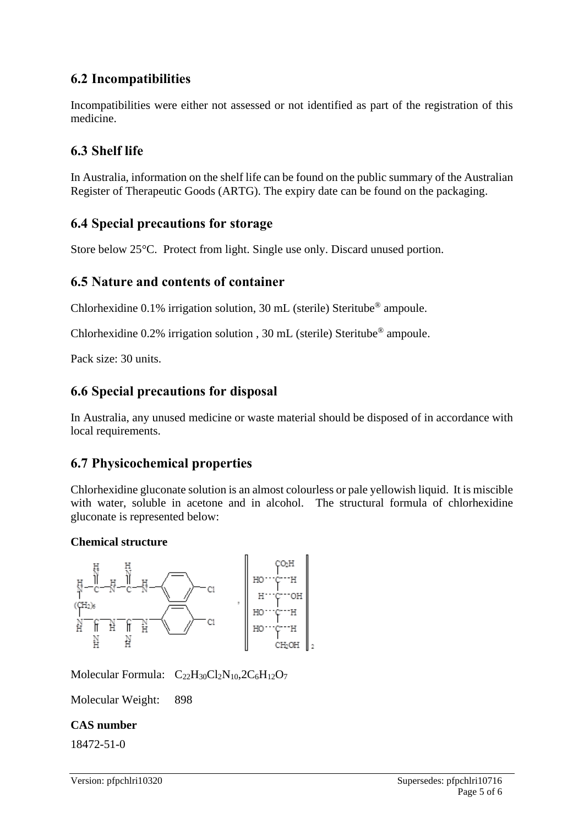# **6.2 Incompatibilities**

Incompatibilities were either not assessed or not identified as part of the registration of this medicine.

# **6.3 Shelf life**

In Australia, information on the shelf life can be found on the public summary of the Australian Register of Therapeutic Goods (ARTG). The expiry date can be found on the packaging.

### **6.4 Special precautions for storage**

Store below 25°C. Protect from light. Single use only. Discard unused portion.

### **6.5 Nature and contents of container**

Chlorhexidine  $0.1\%$  irrigation solution, 30 mL (sterile) Steritube<sup>®</sup> ampoule.

Chlorhexidine 0.2% irrigation solution , 30 mL (sterile) Steritube® ampoule.

Pack size: 30 units.

### **6.6 Special precautions for disposal**

In Australia, any unused medicine or waste material should be disposed of in accordance with local requirements.

### **6.7 Physicochemical properties**

Chlorhexidine gluconate solution is an almost colourless or pale yellowish liquid. It is miscible with water, soluble in acetone and in alcohol. The structural formula of chlorhexidine gluconate is represented below:

### **Chemical structure**



Molecular Formula:  $C_{22}H_{30}Cl_2N_{10}$ ,  $2C_6H_{12}O_7$ 

Molecular Weight: 898

### **CAS number**

18472-51-0